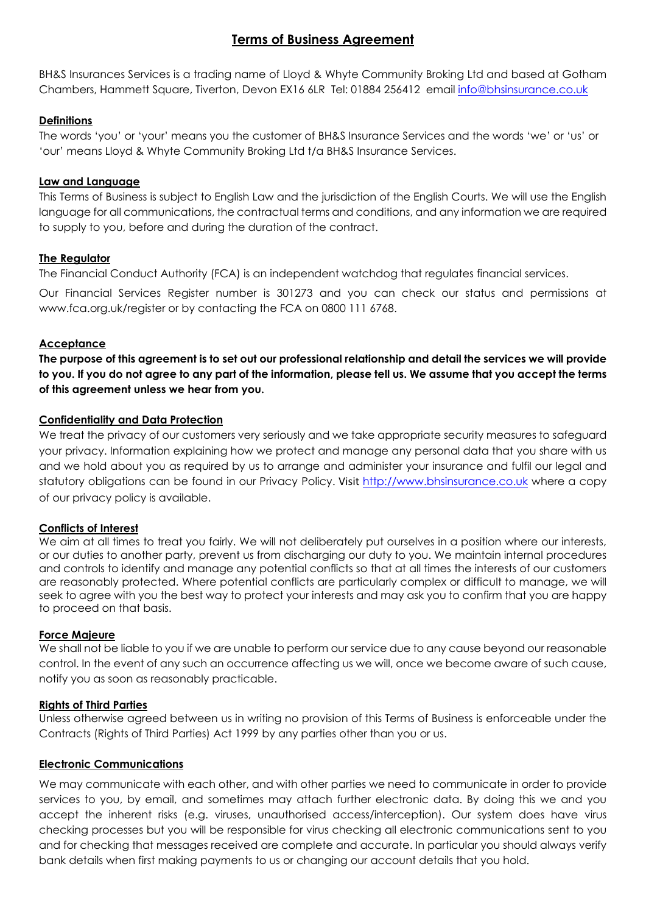# **Terms of Business Agreement**

BH&S Insurances Services is a trading name of Lloyd & Whyte Community Broking Ltd and based at Gotham Chambers, Hammett Square, Tiverton, Devon EX16 6LR Tel: 01884 256412 email [info@bhsinsurance.co.uk](mailto:info@bhsinsurance.co.uk)

## **Definitions**

The words 'you' or 'your' means you the customer of BH&S Insurance Services and the words 'we' or 'us' or 'our' means Lloyd & Whyte Community Broking Ltd t/a BH&S Insurance Services.

### **Law and Language**

This Terms of Business is subject to English Law and the jurisdiction of the English Courts. We will use the English language for all communications, the contractual terms and conditions, and any information we are required to supply to you, before and during the duration of the contract.

### **The Regulator**

The Financial Conduct Authority (FCA) is an independent watchdog that regulates financial services.

Our Financial Services Register number is 301273 and you can check our status and permissions at www.fca.org.uk/register or by contacting the FCA on 0800 111 6768.

### **Acceptance**

**The purpose of this agreement is to set out our professional relationship and detail the services we will provide to you. If you do not agree to any part of the information, please tell us. We assume that you accept the terms of this agreement unless we hear from you.**

### **Confidentiality and Data Protection**

We treat the privacy of our customers very seriously and we take appropriate security measures to safeguard your privacy. Information explaining how we protect and manage any personal data that you share with us and we hold about you as required by us to arrange and administer your insurance and fulfil our legal and statutory obligations can be found in our Privacy Policy. Visit [http://www.bhsinsurance.co.uk](http://www.bhsinsurance.co.uk/) where a copy of our privacy policy is available.

#### **Conflicts of Interest**

We aim at all times to treat you fairly. We will not deliberately put ourselves in a position where our interests, or our duties to another party, prevent us from discharging our duty to you. We maintain internal procedures and controls to identify and manage any potential conflicts so that at all times the interests of our customers are reasonably protected. Where potential conflicts are particularly complex or difficult to manage, we will seek to agree with you the best way to protect your interests and may ask you to confirm that you are happy to proceed on that basis.

#### **Force Majeure**

We shall not be liable to you if we are unable to perform our service due to any cause beyond our reasonable control. In the event of any such an occurrence affecting us we will, once we become aware of such cause, notify you as soon as reasonably practicable.

#### **Rights of Third Parties**

Unless otherwise agreed between us in writing no provision of this Terms of Business is enforceable under the Contracts (Rights of Third Parties) Act 1999 by any parties other than you or us.

## **Electronic Communications**

We may communicate with each other, and with other parties we need to communicate in order to provide services to you, by email, and sometimes may attach further electronic data. By doing this we and you accept the inherent risks (e.g. viruses, unauthorised access/interception). Our system does have virus checking processes but you will be responsible for virus checking all electronic communications sent to you and for checking that messages received are complete and accurate. In particular you should always verify bank details when first making payments to us or changing our account details that you hold.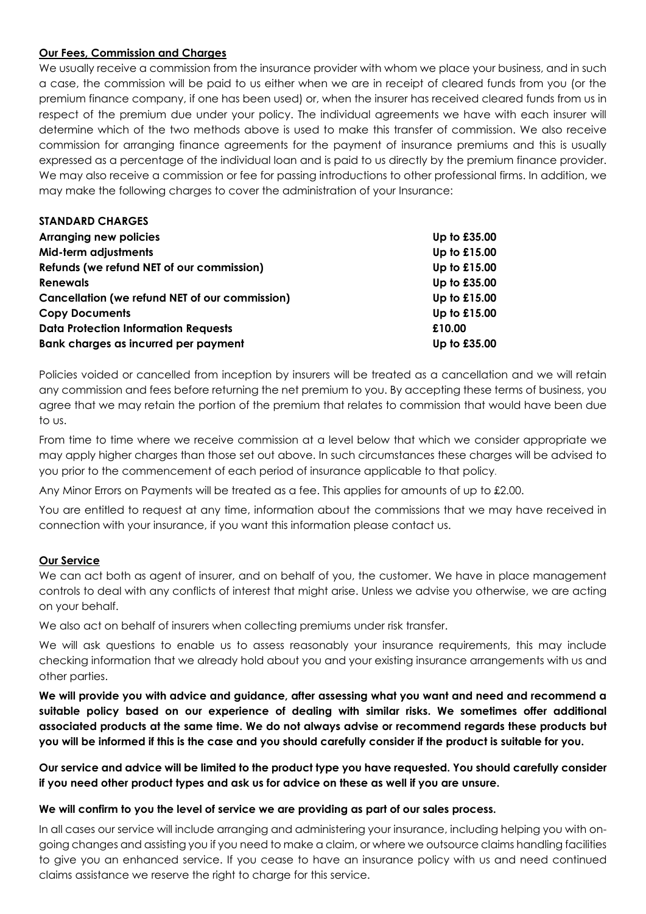### **Our Fees, Commission and Charges**

We usually receive a commission from the insurance provider with whom we place your business, and in such a case, the commission will be paid to us either when we are in receipt of cleared funds from you (or the premium finance company, if one has been used) or, when the insurer has received cleared funds from us in respect of the premium due under your policy. The individual agreements we have with each insurer will determine which of the two methods above is used to make this transfer of commission. We also receive commission for arranging finance agreements for the payment of insurance premiums and this is usually expressed as a percentage of the individual loan and is paid to us directly by the premium finance provider. We may also receive a commission or fee for passing introductions to other professional firms. In addition, we may make the following charges to cover the administration of your Insurance:

| <b>STANDARD CHARGES</b>                               |              |
|-------------------------------------------------------|--------------|
| <b>Arranging new policies</b>                         | Up to £35.00 |
| Mid-term adjustments                                  | Up to £15.00 |
| Refunds (we refund NET of our commission)             | Up to £15.00 |
| <b>Renewals</b>                                       | Up to £35.00 |
| <b>Cancellation (we refund NET of our commission)</b> | Up to £15.00 |
| <b>Copy Documents</b>                                 | Up to £15.00 |
| <b>Data Protection Information Requests</b>           | £10.00       |
| Bank charges as incurred per payment                  | Up to £35.00 |

Policies voided or cancelled from inception by insurers will be treated as a cancellation and we will retain any commission and fees before returning the net premium to you. By accepting these terms of business, you agree that we may retain the portion of the premium that relates to commission that would have been due to us.

From time to time where we receive commission at a level below that which we consider appropriate we may apply higher charges than those set out above. In such circumstances these charges will be advised to you prior to the commencement of each period of insurance applicable to that policy.

Any Minor Errors on Payments will be treated as a fee. This applies for amounts of up to £2.00.

You are entitled to request at any time, information about the commissions that we may have received in connection with your insurance, if you want this information please contact us.

#### **Our Service**

We can act both as agent of insurer, and on behalf of you, the customer. We have in place management controls to deal with any conflicts of interest that might arise. Unless we advise you otherwise, we are acting on your behalf.

We also act on behalf of insurers when collecting premiums under risk transfer.

We will ask questions to enable us to assess reasonably your insurance requirements, this may include checking information that we already hold about you and your existing insurance arrangements with us and other parties.

**We will provide you with advice and guidance, after assessing what you want and need and recommend a suitable policy based on our experience of dealing with similar risks. We sometimes offer additional associated products at the same time. We do not always advise or recommend regards these products but you will be informed if this is the case and you should carefully consider if the product is suitable for you.** 

**Our service and advice will be limited to the product type you have requested. You should carefully consider if you need other product types and ask us for advice on these as well if you are unsure.**

#### **We will confirm to you the level of service we are providing as part of our sales process.**

In all cases our service will include arranging and administering your insurance, including helping you with ongoing changes and assisting you if you need to make a claim, or where we outsource claims handling facilities to give you an enhanced service. If you cease to have an insurance policy with us and need continued claims assistance we reserve the right to charge for this service.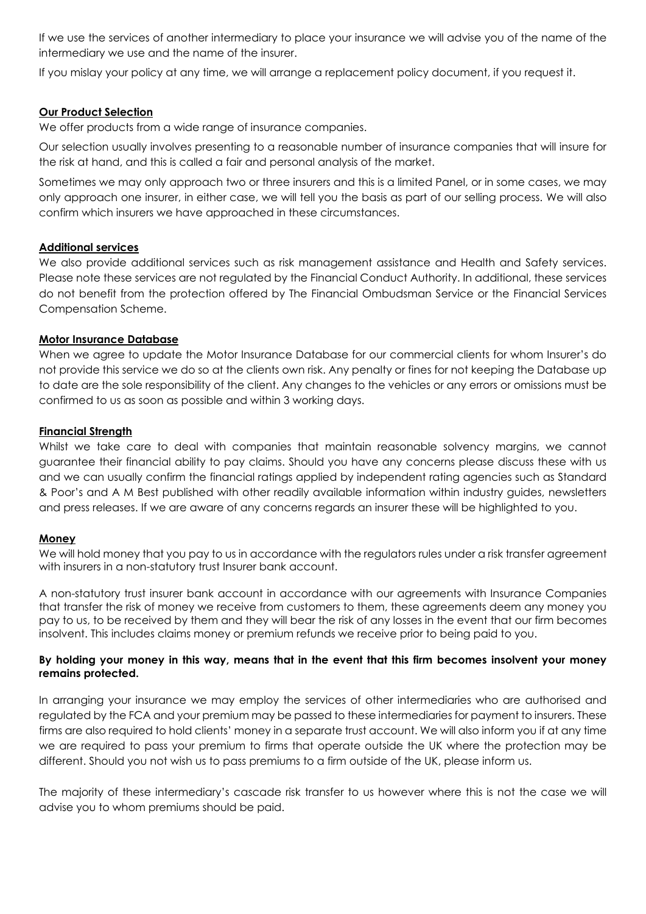If we use the services of another intermediary to place your insurance we will advise you of the name of the intermediary we use and the name of the insurer.

If you mislay your policy at any time, we will arrange a replacement policy document, if you request it.

## **Our Product Selection**

We offer products from a wide range of insurance companies.

Our selection usually involves presenting to a reasonable number of insurance companies that will insure for the risk at hand, and this is called a fair and personal analysis of the market.

Sometimes we may only approach two or three insurers and this is a limited Panel, or in some cases, we may only approach one insurer, in either case, we will tell you the basis as part of our selling process. We will also confirm which insurers we have approached in these circumstances.

### **Additional services**

We also provide additional services such as risk management assistance and Health and Safety services. Please note these services are not regulated by the Financial Conduct Authority. In additional, these services do not benefit from the protection offered by The Financial Ombudsman Service or the Financial Services Compensation Scheme.

### **Motor Insurance Database**

When we agree to update the Motor Insurance Database for our commercial clients for whom Insurer's do not provide this service we do so at the clients own risk. Any penalty or fines for not keeping the Database up to date are the sole responsibility of the client. Any changes to the vehicles or any errors or omissions must be confirmed to us as soon as possible and within 3 working days.

### **Financial Strength**

Whilst we take care to deal with companies that maintain reasonable solvency margins, we cannot guarantee their financial ability to pay claims. Should you have any concerns please discuss these with us and we can usually confirm the financial ratings applied by independent rating agencies such as Standard & Poor's and A M Best published with other readily available information within industry guides, newsletters and press releases. If we are aware of any concerns regards an insurer these will be highlighted to you.

#### **Money**

We will hold money that you pay to us in accordance with the regulators rules under a risk transfer agreement with insurers in a non-statutory trust Insurer bank account.

A non-statutory trust insurer bank account in accordance with our agreements with Insurance Companies that transfer the risk of money we receive from customers to them, these agreements deem any money you pay to us, to be received by them and they will bear the risk of any losses in the event that our firm becomes insolvent. This includes claims money or premium refunds we receive prior to being paid to you.

#### **By holding your money in this way, means that in the event that this firm becomes insolvent your money remains protected.**

In arranging your insurance we may employ the services of other intermediaries who are authorised and regulated by the FCA and your premium may be passed to these intermediaries for payment to insurers. These firms are also required to hold clients' money in a separate trust account. We will also inform you if at any time we are required to pass your premium to firms that operate outside the UK where the protection may be different. Should you not wish us to pass premiums to a firm outside of the UK, please inform us.

The majority of these intermediary's cascade risk transfer to us however where this is not the case we will advise you to whom premiums should be paid.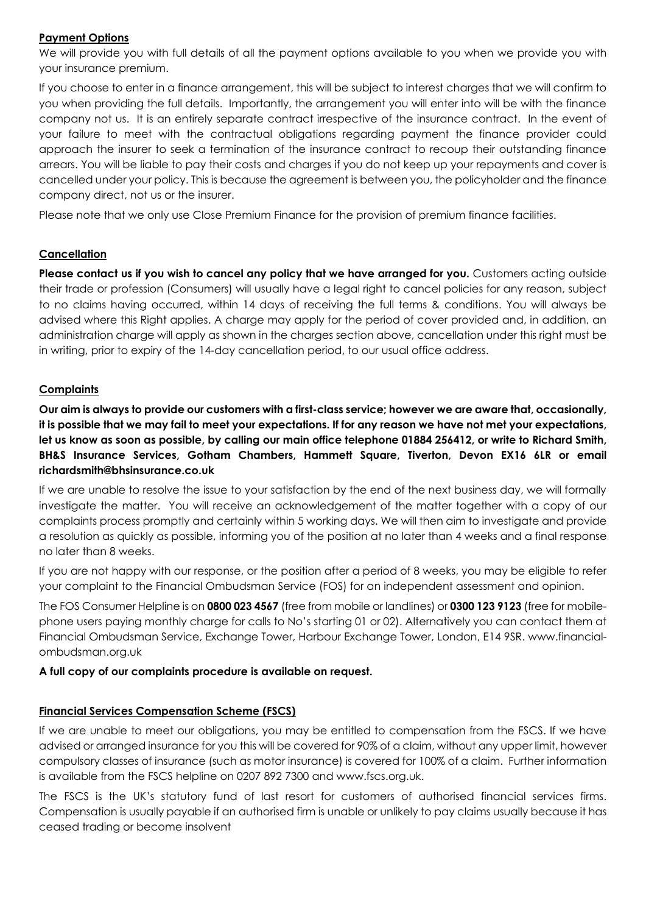## **Payment Options**

We will provide you with full details of all the payment options available to you when we provide you with your insurance premium.

If you choose to enter in a finance arrangement, this will be subject to interest charges that we will confirm to you when providing the full details. Importantly, the arrangement you will enter into will be with the finance company not us. It is an entirely separate contract irrespective of the insurance contract. In the event of your failure to meet with the contractual obligations regarding payment the finance provider could approach the insurer to seek a termination of the insurance contract to recoup their outstanding finance arrears. You will be liable to pay their costs and charges if you do not keep up your repayments and cover is cancelled under your policy. This is because the agreement is between you, the policyholder and the finance company direct, not us or the insurer.

Please note that we only use Close Premium Finance for the provision of premium finance facilities.

## **Cancellation**

**Please contact us if you wish to cancel any policy that we have arranged for you.** Customers acting outside their trade or profession (Consumers) will usually have a legal right to cancel policies for any reason, subject to no claims having occurred, within 14 days of receiving the full terms & conditions. You will always be advised where this Right applies. A charge may apply for the period of cover provided and, in addition, an administration charge will apply as shown in the charges section above, cancellation under this right must be in writing, prior to expiry of the 14-day cancellation period, to our usual office address.

## **Complaints**

**Our aim is always to provide our customers with a first-class service; however we are aware that, occasionally, it is possible that we may fail to meet your expectations. If for any reason we have not met your expectations, let us know as soon as possible, by calling our main office telephone 01884 256412, or write to Richard Smith, BH&S Insurance Services, Gotham Chambers, Hammett Square, Tiverton, Devon EX16 6LR or email richardsmith@bhsinsurance.co.uk** 

If we are unable to resolve the issue to your satisfaction by the end of the next business day, we will formally investigate the matter. You will receive an acknowledgement of the matter together with a copy of our complaints process promptly and certainly within 5 working days. We will then aim to investigate and provide a resolution as quickly as possible, informing you of the position at no later than 4 weeks and a final response no later than 8 weeks.

If you are not happy with our response, or the position after a period of 8 weeks, you may be eligible to refer your complaint to the Financial Ombudsman Service (FOS) for an independent assessment and opinion.

The FOS Consumer Helpline is on **0800 023 4567** (free from mobile or landlines) or **0300 123 9123** (free for mobilephone users paying monthly charge for calls to No's starting 01 or 02). Alternatively you can contact them at Financial Ombudsman Service, Exchange Tower, Harbour Exchange Tower, London, E14 9SR. www.financialombudsman.org.uk

## **A full copy of our complaints procedure is available on request.**

## **Financial Services Compensation Scheme (FSCS)**

If we are unable to meet our obligations, you may be entitled to compensation from the FSCS. If we have advised or arranged insurance for you this will be covered for 90% of a claim, without any upper limit, however compulsory classes of insurance (such as motor insurance) is covered for 100% of a claim. Further information is available from the FSCS helpline on 0207 892 7300 and www.fscs.org.uk.

The FSCS is the UK's statutory fund of last resort for customers of authorised financial services firms. Compensation is usually payable if an authorised firm is unable or unlikely to pay claims usually because it has ceased trading or become insolvent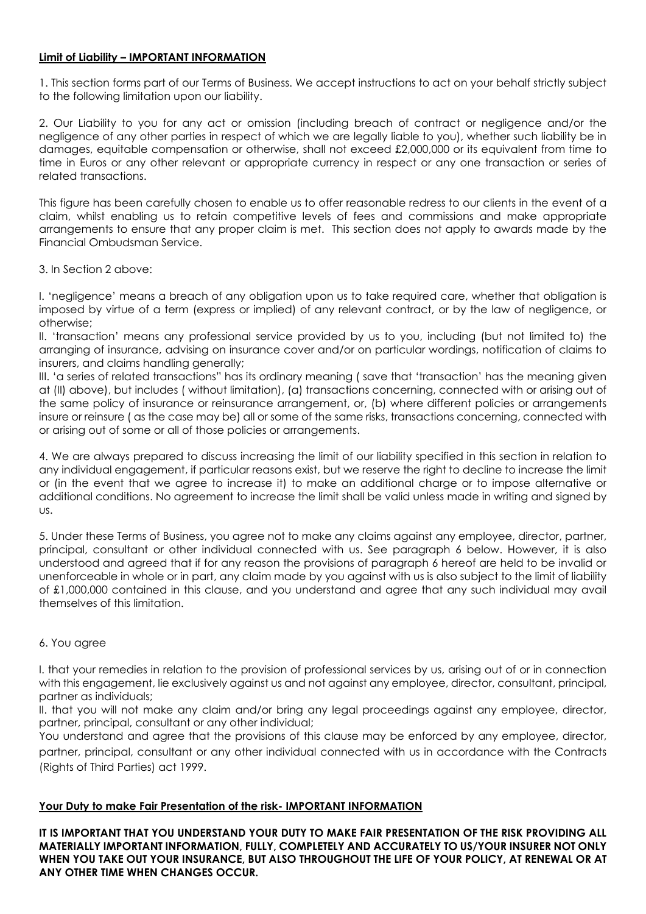### **Limit of Liability – IMPORTANT INFORMATION**

1. This section forms part of our Terms of Business. We accept instructions to act on your behalf strictly subject to the following limitation upon our liability.

2. Our Liability to you for any act or omission (including breach of contract or negligence and/or the negligence of any other parties in respect of which we are legally liable to you), whether such liability be in damages, equitable compensation or otherwise, shall not exceed £2,000,000 or its equivalent from time to time in Euros or any other relevant or appropriate currency in respect or any one transaction or series of related transactions.

This figure has been carefully chosen to enable us to offer reasonable redress to our clients in the event of a claim, whilst enabling us to retain competitive levels of fees and commissions and make appropriate arrangements to ensure that any proper claim is met. This section does not apply to awards made by the Financial Ombudsman Service.

3. In Section 2 above:

I. 'negligence' means a breach of any obligation upon us to take required care, whether that obligation is imposed by virtue of a term (express or implied) of any relevant contract, or by the law of negligence, or otherwise;

II. 'transaction' means any professional service provided by us to you, including (but not limited to) the arranging of insurance, advising on insurance cover and/or on particular wordings, notification of claims to insurers, and claims handling generally;

III. 'a series of related transactions" has its ordinary meaning (save that 'transaction' has the meaning given at (II) above), but includes ( without limitation), (a) transactions concerning, connected with or arising out of the same policy of insurance or reinsurance arrangement, or, (b) where different policies or arrangements insure or reinsure ( as the case may be) all or some of the same risks, transactions concerning, connected with or arising out of some or all of those policies or arrangements.

4. We are always prepared to discuss increasing the limit of our liability specified in this section in relation to any individual engagement, if particular reasons exist, but we reserve the right to decline to increase the limit or (in the event that we agree to increase it) to make an additional charge or to impose alternative or additional conditions. No agreement to increase the limit shall be valid unless made in writing and signed by us.

5. Under these Terms of Business, you agree not to make any claims against any employee, director, partner, principal, consultant or other individual connected with us. See paragraph 6 below. However, it is also understood and agreed that if for any reason the provisions of paragraph 6 hereof are held to be invalid or unenforceable in whole or in part, any claim made by you against with us is also subject to the limit of liability of £1,000,000 contained in this clause, and you understand and agree that any such individual may avail themselves of this limitation.

## 6. You agree

I. that your remedies in relation to the provision of professional services by us, arising out of or in connection with this engagement, lie exclusively against us and not against any employee, director, consultant, principal, partner as individuals;

II. that you will not make any claim and/or bring any legal proceedings against any employee, director, partner, principal, consultant or any other individual;

You understand and agree that the provisions of this clause may be enforced by any employee, director, partner, principal, consultant or any other individual connected with us in accordance with the Contracts (Rights of Third Parties) act 1999.

## **Your Duty to make Fair Presentation of the risk- IMPORTANT INFORMATION**

**IT IS IMPORTANT THAT YOU UNDERSTAND YOUR DUTY TO MAKE FAIR PRESENTATION OF THE RISK PROVIDING ALL MATERIALLY IMPORTANT INFORMATION, FULLY, COMPLETELY AND ACCURATELY TO US/YOUR INSURER NOT ONLY WHEN YOU TAKE OUT YOUR INSURANCE, BUT ALSO THROUGHOUT THE LIFE OF YOUR POLICY, AT RENEWAL OR AT ANY OTHER TIME WHEN CHANGES OCCUR.**